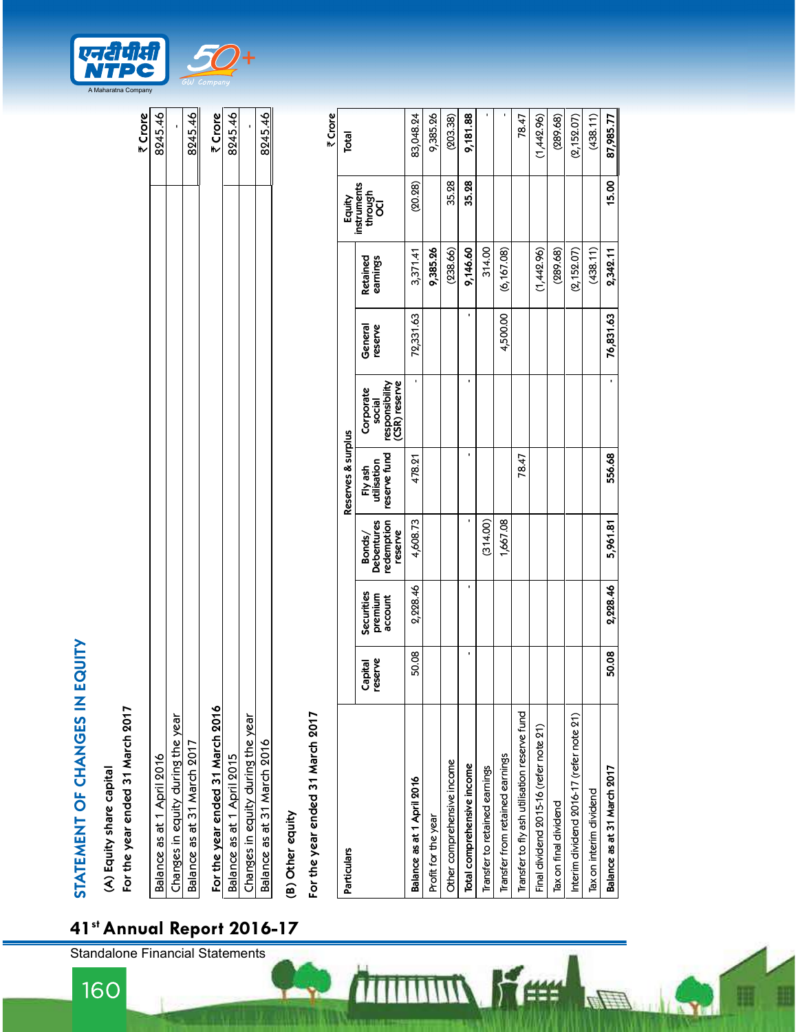|                                   | ₹ Crore                           |
|-----------------------------------|-----------------------------------|
| Balance as at 1 April 2016        | 8245.46                           |
| Changes in equity during the year |                                   |
| Balance as at 31 March 2017       | 8245.46                           |
| For the year ended 31 March 2016  |                                   |
| Balance as at 1 April 2015        | $\frac{7 \text{ Crore}}{8245.46}$ |
| Changes in equity during the year |                                   |
| Balance as at 31 March 2016       | 8245.46                           |
|                                   |                                   |

ĨÌ,

| <b>STATEMENT OF CHANGES IN EQUITY</b>                        |                    |                                  |                                                         |                                        |                                                        |                    |                      |                               |             |
|--------------------------------------------------------------|--------------------|----------------------------------|---------------------------------------------------------|----------------------------------------|--------------------------------------------------------|--------------------|----------------------|-------------------------------|-------------|
| For the year ended 31 March 2017<br>(A) Equity share capital |                    |                                  |                                                         |                                        |                                                        |                    |                      |                               |             |
|                                                              |                    |                                  |                                                         |                                        |                                                        |                    |                      |                               | ₹ Crore     |
| Balance as at 1 April 2016                                   |                    |                                  |                                                         |                                        |                                                        |                    |                      |                               | 8245.46     |
| Changes in equity during the year                            |                    |                                  |                                                         |                                        |                                                        |                    |                      |                               |             |
| Balance as at 31 March 2017                                  |                    |                                  |                                                         |                                        |                                                        |                    |                      |                               | 8245.46     |
| For the year ended 31 March 2016                             |                    |                                  |                                                         |                                        |                                                        |                    |                      |                               | ₹ Crore     |
| Balance as at 1 April 2015                                   |                    |                                  |                                                         |                                        |                                                        |                    |                      |                               | 8245.46     |
| Changes in equity during the year                            |                    |                                  |                                                         |                                        |                                                        |                    |                      |                               |             |
| Balance as at 31 March 2016                                  |                    |                                  |                                                         |                                        |                                                        |                    |                      |                               | 8245.46     |
| (B) Other equity                                             |                    |                                  |                                                         |                                        |                                                        |                    |                      |                               |             |
| For the year ended 31 March 2017                             |                    |                                  |                                                         |                                        |                                                        |                    |                      |                               | ₹ Crore     |
| Particulars                                                  |                    |                                  |                                                         | Reserves & surplus                     |                                                        |                    |                      | Equity                        | Total       |
|                                                              | Capital<br>reserve | Securities<br>premium<br>account | redemption<br>res<br>reserve<br><b>Bonds</b><br>Debentu | reserve fund<br>utilisation<br>Fly ash | responsibility<br>(CSR) reserve<br>Corporate<br>social | General<br>reserve | Retained<br>earnings | instruments<br>through<br>OCI |             |
| Balance as at 1 April 2016                                   | 50.08              | 2,228.46                         | 4,608.73                                                | 478.21                                 |                                                        | 72,331.63          | 3,371.41             | (20.28)                       | 83,048.24   |
| Profit for the year                                          |                    |                                  |                                                         |                                        |                                                        |                    | 9,385.26             |                               | 9,385.26    |
| Other comprehensive income                                   |                    |                                  |                                                         |                                        |                                                        |                    | (238.66)             | 35.28                         | (203.38)    |
| Total comprehensive income                                   | ٠                  | $\blacksquare$                   | ı                                                       | ٠                                      | ٠                                                      | ٠                  | 9,146.60             | 35.28                         | 9,181.88    |
| Transfer to retained earnings                                |                    |                                  | ĝ<br>(314.                                              |                                        |                                                        |                    | 314.00               |                               |             |
| Transfer from retained earnings                              |                    |                                  | 1,667.08                                                |                                        |                                                        | 4,500.00           | (6, 167.08)          |                               |             |
| Transfer to fly ash utilisation reserve fund                 |                    |                                  |                                                         | 78.47                                  |                                                        |                    |                      |                               | 78.47       |
| Final dividend 2015-16 (refer note 21)                       |                    |                                  |                                                         |                                        |                                                        |                    | (1,442.96)           |                               | (1,442.96)  |
| Tax on final dividend                                        |                    |                                  |                                                         |                                        |                                                        |                    | (289.68)             |                               | (289.68)    |
| Interim dividend 2016-17 (refer note 21)                     |                    |                                  |                                                         |                                        |                                                        |                    | (2, 152.07)          |                               | (2, 152.07) |
| Tax on interim dividend                                      |                    |                                  |                                                         |                                        |                                                        |                    | (438.11)             |                               | (438.11)    |
| Balance as at 31 March 2017                                  | 50.08              | 2,228.46                         | $\overline{18}$<br>5,961                                | 556.68                                 | $\cdot$                                                | 76,831.63          | 2,342.11             | 15.00                         | 87,985.77   |

K#

**A** 

 $\overline{m}$ 



160

41st Annual Report 2016-17

Standalone Financial Statements